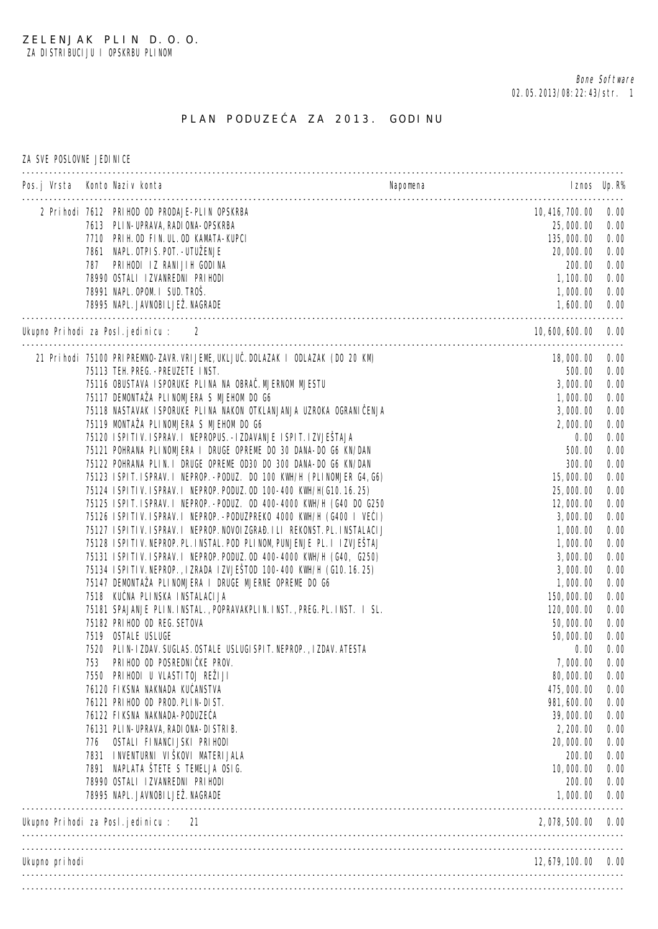## PLAN PODUZE A ZA 2013. GODINU

ZA SVE POSLOVNE JEDINICE

|                 | Pos.j Vrsta Konto Naziv konta                                                                                                | Napomena | I znos Up. $R\%$             |              |
|-----------------|------------------------------------------------------------------------------------------------------------------------------|----------|------------------------------|--------------|
|                 | 2 Prihodi 7612 PRIHOD OD PRODAJE-PLIN OPSKRBA                                                                                |          | 10, 416, 700. 00             | 0.00         |
|                 | 7613 PLIN-UPRAVA, RADIONA-OPSKRBA                                                                                            |          | 25,000.00                    | 0.00         |
|                 | 7710 PRIH. OD FIN. UL. OD KAMATA-KUPCI                                                                                       |          | 135, 000. 00                 | 0.00         |
|                 | 7861 NAPL. OTPI S. POT. - UTUŽENJE                                                                                           |          | 20,000.00                    | 0.00         |
|                 | PRIHODI IZ RANIJIH GODINA<br>787                                                                                             |          | 200.00                       | 0.00         |
|                 | 78990 OSTALI IZVANREDNI PRIHODI<br>78991 NAPL. OPOM. I SUD. TROŠ.                                                            |          | 1, 100.00                    | 0.00         |
|                 | 78995 NAPL. JAVNOBI LJEŽ. NAGRADE                                                                                            |          | 1,000.00<br>1,600.00         | 0.00<br>0.00 |
|                 | Ukupno Prihodi za Posl. jedinicu: 2                                                                                          |          | 10, 600, 600. 00             | 0.00         |
|                 | 21 Prihodi 75100 PRI PREMNO-ZAVR. VRI JEME, UKLJU . DOLAZAK I ODLAZAK (DO 20 KM)                                             |          | 18,000.00                    | 0.00         |
|                 | 75113 TEH. PREG. - PREUZETE INST.                                                                                            |          | 500.00                       | 0.00         |
|                 | 75116 OBUSTAVA I SPORUKE PLINA NA OBRA . MJERNOM MJESTU                                                                      |          | 3,000.00                     | 0.00         |
|                 | 75117 DEMONTAŽA PLINOMJERA S MJEHOM DO G6                                                                                    |          | 1,000.00                     | 0.00         |
|                 | 75118 NASTAVAK ISPORUKE PLINA NAKON OTKLANJANJA UZROKA OGRANI ENJA                                                           |          | 3,000.00                     | 0.00         |
|                 | 75119 MONTAŽA PLINOMJERA S MJEHOM DO G6                                                                                      |          | 2,000.00                     | 0.00         |
|                 | 75120 ISPITIV. ISPRAV. I NEPROPUS. - IZDAVANJE ISPIT. IZVJEŠTAJA                                                             |          | 0.00                         | 0.00         |
|                 | 75121 POHRANA PLINOMJERA I DRUGE OPREME DO 30 DANA-DO G6 KN/DAN                                                              |          | 500.00                       | 0.00         |
|                 | 75122 POHRANA PLIN. I DRUGE OPREME OD30 DO 300 DANA-DO G6 KN/DAN                                                             |          | 300.00                       | 0.00         |
|                 | 75123 ISPIT. ISPRAV. I NEPROP. - PODUZ. DO 100 KWH/H (PLINOMJER G4, G6)                                                      |          | 15,000.00                    | 0.00         |
|                 | 75124 ISPITIV. ISPRAV. I NEPROP. PODUZ. OD 100-400 KWH/H(G10. 16. 25)                                                        |          | 25,000.00                    | 0.00         |
|                 | 75125 ISPIT. ISPRAV. I NEPROP. - PODUZ. OD 400-4000 KWH/H (G40 DO G250                                                       |          | 12,000.00                    | 0.00         |
|                 | 75126 ISPITIV. ISPRAV. I NEPROP. - PODUZPREKO 4000 KWH/H (G400 I VE I)                                                       |          | 3,000.00                     | 0.00         |
|                 | 75127 ISPITIV. ISPRAV. I NEPROP. NOVOIZGRA . ILI REKONST. PL. INSTALACIJ                                                     |          | 1,000.00                     | 0.00         |
|                 | 75128 ISPITIV. NEPROP. PL. INSTAL. POD PLINOM, PUNJENJE PL. I IZVJEŠTAJ                                                      |          | 1,000.00                     | 0.00         |
|                 | 75131 ISPITIV. ISPRAV. I NEPROP. PODUZ. OD 400-4000 KWH/H (G40, G250)                                                        |          | 3,000.00                     | 0.00         |
|                 | 75134 ISPITIV. NEPROP., IZRADA IZVJEŠTOD 100-400 KWH/H (G10.16.25)<br>75147 DEMONTAŽA PLINOMJERA I DRUGE MJERNE OPREME DO G6 |          | 3,000.00                     | 0.00         |
|                 | 7518 KU NA PLINSKA INSTALACIJA                                                                                               |          | 1,000.00                     | 0.00<br>0.00 |
|                 | 75181 SPAJANJE PLIN. INSTAL., POPRAVAKPLIN. INST., PREG. PL. INST. I SL.                                                     |          | 150, 000. 00<br>120, 000. 00 | 0.00         |
|                 | 75182 PRIHOD OD REG. SETOVA                                                                                                  |          | 50,000.00                    | 0.00         |
|                 | 7519 OSTALE USLUGE                                                                                                           |          | 50,000.00                    | 0.00         |
|                 | 7520 PLIN-IZDAV. SUGLAS. OSTALE USLUGI SPIT. NEPROP., IZDAV. ATESTA                                                          |          | 0.00                         | 0.00         |
|                 | 753<br>PRIHOD OD POSREDNI KE PROV.                                                                                           |          | 7,000.00                     | 0.00         |
|                 | 7550 PRI HODI U VLASTI TOJ REŽI JI                                                                                           |          | 80, 000. 00                  | 0.00         |
|                 | 76120 FIKSNA NAKNADA KU ANSTVA                                                                                               |          | 475, 000.00                  | 0.00         |
|                 | 76121 PRIHOD OD PROD. PLIN-DIST.                                                                                             |          | 981, 600.00                  | 0.00         |
|                 | 76122 FIKSNA NAKNADA-PODUZE A                                                                                                |          | 39, 000. 00                  | 0.00         |
|                 | 76131 PLIN-UPRAVA, RADIONA-DISTRIB.                                                                                          |          | 2, 200.00                    | 0.00         |
|                 | OSTALI FINANCI JSKI PRI HODI<br>776                                                                                          |          | 20,000.00                    | 0.00         |
|                 | 7831 INVENTURNI VIŠKOVI MATERIJALA                                                                                           |          | 200.00                       | 0.00         |
|                 | 7891 NAPLATA ŠTETE S TEMELJA OSI G.                                                                                          |          | 10,000.00                    | 0.00         |
|                 | 78990 OSTALI IZVANREDNI PRIHODI                                                                                              |          | 200.00                       | 0.00         |
|                 | 78995 NAPL. JAVNOBI LJEŽ. NAGRADE                                                                                            |          | 1,000.00                     | 0.00         |
|                 | Ukupno Prihodi za Posl.jedinicu: 21                                                                                          |          | 2, 078, 500. 00              | 0.00         |
| Ukupno pri hodi |                                                                                                                              |          | $12, 679, 100, 00$ 0.00      |              |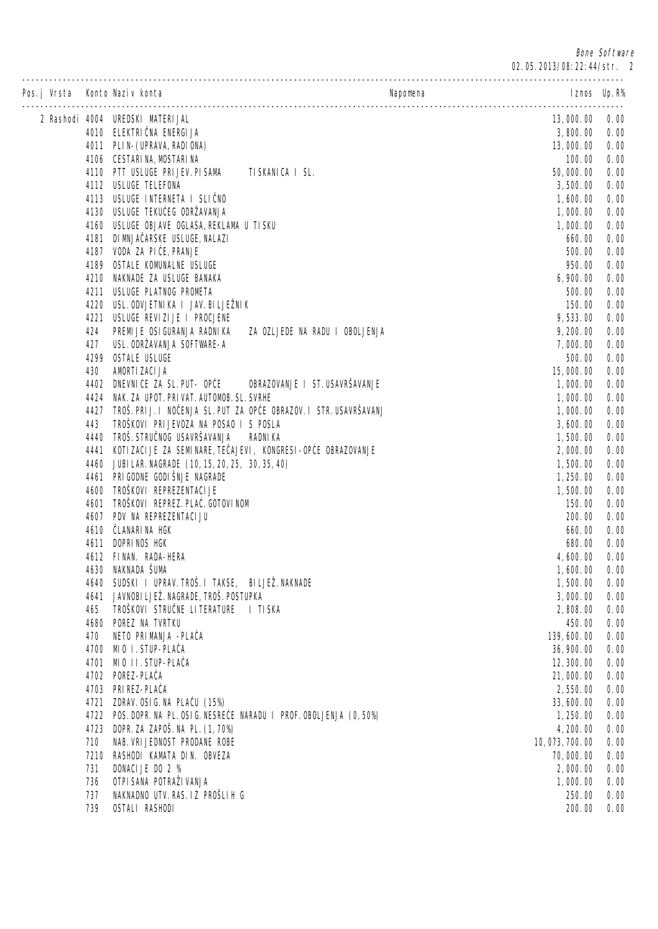Bone Software

| Pos.j Vrsta Konto Naziv konta |              |                                                                    | Napomena                | I znos Up. R% |
|-------------------------------|--------------|--------------------------------------------------------------------|-------------------------|---------------|
|                               |              | 2 Rashodi 4004 UREDSKI MATERIJAL                                   | 13,000.00               | 0.00          |
|                               |              | 4010 ELEKTRI NA ENERGIJA                                           | 3,800.00                | 0.00          |
|                               |              | 4011 PLIN- (UPRAVA, RADI ONA)                                      | 13,000.00               | 0.00          |
|                               |              | 4106 CESTARI NA, MOSTARI NA                                        | 100.00                  | 0.00          |
|                               |              | 4110 PTT USLUGE PRI JEV. PI SAMA<br>TI SKANI CA I SL.              | 50,000.00               | 0.00          |
|                               |              | 4112 USLUGE TELEFONA                                               | 3,500.00                | 0.00          |
|                               |              | 4113 USLUGE INTERNETA I SLI NO                                     | 1,600.00                | 0.00          |
|                               |              | 4130 USLUGE TEKU EG ODRŽAVANJA                                     | 1,000.00                | 0.00          |
|                               |              | 4160 USLUGE OBJAVE OGLASA, REKLAMA U TISKU                         | 1,000.00                | 0.00          |
|                               |              | 4181 DI MNJA ARSKE USLUGE, NALAZI                                  | 660.00                  | 0.00          |
|                               |              | 4187 VODA ZA PI E, PRANJE                                          | 500.00                  | 0.00          |
|                               | 4189         | OSTALE KOMUNALNE USLUGE                                            | 950.00                  | 0.00          |
|                               | 4210<br>4211 | NAKNADE ZA USLUGE BANAKA<br>USLUGE PLATNOG PROMETA                 | 6,900.00<br>500.00      | 0.00<br>0.00  |
|                               | 4220         | USL. ODVJETNI KA I JAV. BI LJEŽNI K                                | 150.00                  | 0.00          |
|                               | 4221         | USLUGE REVIZIJE I PROCJENE                                         | 9, 533.00               | 0.00          |
|                               | 424          | PREMI JE OSI GURANJA RADNIKA<br>ZA OZLJEDE NA RADU I OBOLJENJA     | 9, 200.00               | 0.00          |
|                               | 427          | USL. ODRŽAVANJA SOFTWARE-A                                         | 7,000.00                | 0.00          |
|                               | 4299         | <b>OSTALE USLUGE</b>                                               | 500.00                  | 0.00          |
|                               | 430          | AMORTI ZACI JA                                                     | 15,000.00               | 0.00          |
|                               | 4402         | OBRAZOVANJE I ST. USAVRŠAVANJE<br>DNEVNICE ZA SL. PUT- OP E        | 1,000.00                | 0.00          |
|                               | 4424         | NAK. ZA UPOT. PRI VAT. AUTOMOB. SL. SVRHE                          | 1,000.00                | 0.00          |
|                               | 4427         | TROŠ. PRI J. I NO ENJA SL. PUT ZA OP E OBRAZOV. I STR. USAVRŠAVANJ | 1,000.00                | 0.00          |
|                               | 443          | TROŠKOVI PRI JEVOZA NA POSAO I S POSLA                             | 3,600.00                | 0.00          |
|                               | 4440         | TROŠ. STRU NOG USAVRŠAVANJA<br><b>RADNIKA</b>                      | 1,500.00                | 0.00          |
|                               | 4441         | KOTI ZACI JE ZA SEMI NARE, TE AJEVI, KONGRESI-OP E OBRAZOVANJE     | 2,000.00                | 0.00          |
|                               | 4460         | JUBI LAR. NAGRADE (10, 15, 20, 25, 30, 35, 40)                     | 1,500.00                | 0.00          |
|                               |              | 4461 PRI GODNE GODI ŠNJE NAGRADE                                   | 1, 250.00               | 0.00          |
|                               | 4600         | TROŠKOVI REPREZENTACI JE                                           | 1,500.00                | 0.00          |
|                               | 4601         | TROŠKOVI REPREZ. PLA . GOTOVI NOM                                  | 150.00                  | 0.00          |
|                               |              | 4607 PDV NA REPREZENTACI JU                                        | 200.00                  | 0.00          |
|                               | 4610         | LANARI NA HGK                                                      | 660.00                  | 0.00          |
|                               | 4611         | DOPRINOS HGK                                                       | 680.00                  | 0.00          |
|                               |              | 4612 FINAN. RADA-HERA                                              | 4,600.00                | 0.00          |
|                               |              | 4630 NAKNADA ŠUMA                                                  | 1,600.00                | 0.00          |
|                               | 4640         | SUDSKI I UPRAV. TROŠ. I TAKSE, BILJEŽ. NAKNADE                     | 1,500.00                | 0.00          |
|                               | 4641         | JAVNOBI LJEŽ. NAGRADE, TROŠ. POSTUPKA                              | 3,000.00                | 0.00          |
|                               | 465          | TROŠKOVI STRU NE LITERATURE<br>I TISKA                             | 2,808.00                | 0.00          |
|                               | 4680         | POREZ NA TVRTKU                                                    | 450.00                  | 0.00          |
|                               | 470          | NETO PRIMANJA - PLA A                                              | 139, 600.00             | 0.00          |
|                               | 4700         | MIO I. STUP-PLA A<br>MIO II. STUP-PLA A                            | 36, 900. 00             | 0.00          |
|                               | 4701<br>4702 | POREZ-PLA A                                                        | 12, 300.00<br>21,000.00 | 0.00<br>0.00  |
|                               | 4703         | PRI REZ-PLA A                                                      | 2,550.00                | 0.00          |
|                               | 4721         | ZDRAV. OSI G. NA PLA U (15%)                                       | 33, 600.00              | 0.00          |
|                               | 4722         | POS. DOPR. NA PL. OSI G. NESRE E NARADU I PROF. OBOLJENJA (0, 50%) | 1, 250.00               | 0.00          |
|                               | 4723         | DOPR. ZA ZAPOŠ. NA PL. (1, 70%)                                    | 4, 200.00               | 0.00          |
|                               | 710          | NAB. VRI JEDNOST PRODANE ROBE                                      | 10, 073, 700. 00        | 0.00          |
|                               | 7210         | RASHODI KAMATA DIN. OBVEZA                                         | 70,000.00               | 0.00          |
|                               | 731          | DONACI JE DO 2 %                                                   | 2,000.00                | 0.00          |
|                               | 736          | OTPI SANA POTRAŽI VANJA                                            | 1,000.00                | 0.00          |
|                               | 737          | NAKNADNO UTV. RAS. IZ PROŠLIH G                                    | 250.00                  | 0.00          |
|                               | 739          | OSTALI RASHODI                                                     | 200.00                  | 0.00          |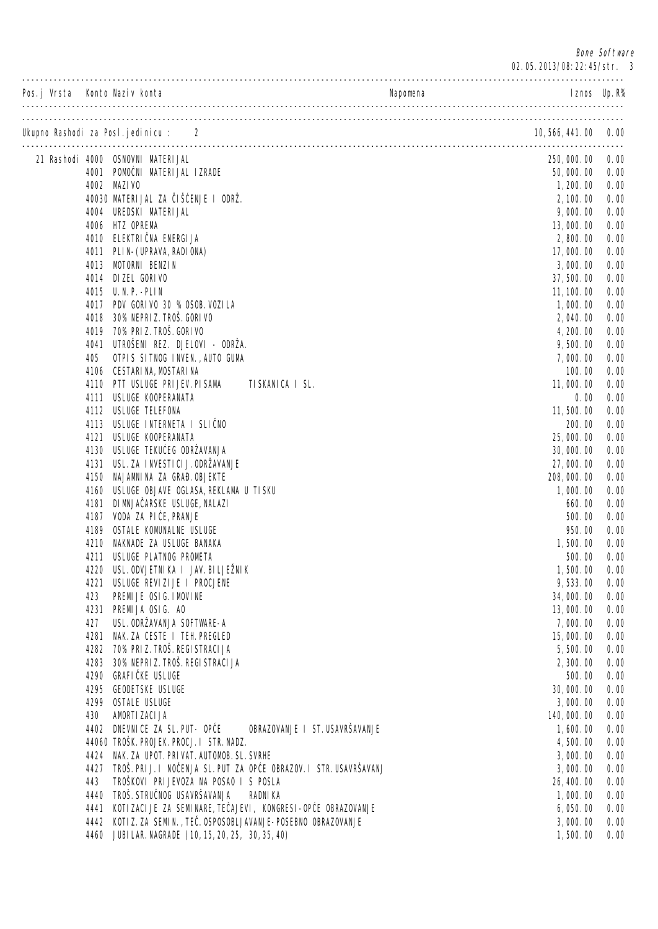Bone Software

02.05.2013/08:22:45/str. 3

| Pos.j Vrsta Konto Naziv konta |              |                                                                   | Napomena<br>I znos Up. $R\%$                                                   |              |
|-------------------------------|--------------|-------------------------------------------------------------------|--------------------------------------------------------------------------------|--------------|
|                               |              | Ukupno Rashodi za Posl. jedinicu: 2                               | 10, 566, 441. 00 0. 00                                                         |              |
|                               |              | 21 Rashodi 4000 OSNOVNI MATERI JAL                                | 250, 000. 00                                                                   | 0.00         |
|                               |              | 4001 POMO NI MATERIJAL IZRADE                                     | 50,000.00                                                                      | 0.00         |
|                               |              | 4002 MAZI VO                                                      | 1, 200.00                                                                      | 0.00         |
|                               |              | 40030 MATERI JAL ZA IŠ ENJE I ODRŽ.                               | 2, 100.00                                                                      | 0.00         |
|                               |              | 4004 UREDSKI MATERI JAL                                           | 9,000.00                                                                       | 0.00         |
|                               |              | 4006 HTZ OPREMA                                                   | 13,000.00                                                                      | 0.00         |
|                               |              | 4010 ELEKTRI NA ENERGIJA                                          | 2,800.00                                                                       | 0.00         |
|                               |              | 4011 PLIN- (UPRAVA, RADI ONA)                                     | 17,000.00                                                                      | 0.00         |
|                               |              | 4013 MOTORNI BENZIN                                               | 3,000.00                                                                       | 0.00         |
|                               |              | 4014 DIZEL GORI VO                                                | 37, 500.00                                                                     | 0.00         |
|                               |              | 4015 U.N.P. - PLIN                                                | 11, 100.00                                                                     | 0.00         |
|                               |              | 4017 PDV GORI VO 30 % OSOB. VOZI LA<br>30% NEPRI Z. TROŠ. GORI VO | 1,000.00                                                                       | 0.00         |
|                               | 4018<br>4019 | 70% PRI Z. TROŠ. GORI VO                                          | 2,040.00<br>4, 200.00                                                          | 0.00<br>0.00 |
|                               | 4041         | UTROŠENI REZ. DJELOVI - ODRŽA.                                    | 9,500.00                                                                       | 0.00         |
|                               | 405          | OTPIS SITNOG INVEN., AUTO GUMA                                    | 7,000.00                                                                       | 0.00         |
|                               | 4106         | CESTARI NA, MOSTARI NA                                            | 100.00                                                                         | 0.00         |
|                               | 4110         | PTT USLUGE PRI JEV. PI SAMA                                       | TI SKANI CA I SL.<br>11,000.00                                                 | 0.00         |
|                               | 4111         | USLUGE KOOPERANATA                                                | 0.00                                                                           | 0.00         |
|                               | 4112         | USLUGE TELEFONA                                                   | 11, 500.00                                                                     | 0.00         |
|                               | 4113         | USLUGE INTERNETA I SLI NO                                         | 200.00                                                                         | 0.00         |
|                               | 4121         | USLUGE KOOPERANATA                                                | 25,000.00                                                                      | 0.00         |
|                               | 4130         | USLUGE TEKU EG ODRŽAVANJA                                         | 30, 000. 00                                                                    | 0.00         |
|                               | 4131         | USL. ZA INVESTI CI J. ODRŽAVANJE                                  | 27,000.00                                                                      | 0.00         |
|                               | 4150         | NAJAMNINA ZA GRA . OBJEKTE                                        | 208, 000. 00                                                                   | 0.00         |
|                               | 4160         | USLUGE OBJAVE OGLASA, REKLAMA U TISKU                             | 1,000.00                                                                       | 0.00         |
|                               | 4181         | DI MNJA ARSKE USLUGE, NALAZI                                      | 660.00                                                                         | 0.00         |
|                               | 4187         | VODA ZA PI E, PRANJE                                              | 500.00                                                                         | 0.00         |
|                               | 4189         | OSTALE KOMUNALNE USLUGE                                           | 950.00                                                                         | 0.00         |
|                               | 4210         | NAKNADE ZA USLUGE BANAKA                                          | 1,500.00                                                                       | 0.00         |
|                               | 4211         | USLUGE PLATNOG PROMETA                                            | 500.00                                                                         | 0.00         |
|                               |              | 4220 USL. ODVJETNI KA I JAV. BI LJEŽNI K                          | 1,500.00                                                                       | 0.00         |
|                               | 4221         | USLUGE REVIZIJE I PROCJENE                                        | 9,533.00                                                                       | 0.00         |
|                               | 423          | PREMIJE OSIG. I MOVINE                                            | 34, 000. 00                                                                    | 0.00         |
|                               |              | 4231 PREMIJA OSIG. AO<br>USL. ODRŽAVANJA SOFTWARE-A               | 13,000.00                                                                      | 0.00         |
|                               | 427          | 4281 NAK. ZA CESTE I TEH. PREGLED                                 | 7,000.00<br>15,000.00                                                          | 0.00<br>0.00 |
|                               |              | 4282 70% PRI Z. TROŠ. REGI STRACI JA                              | 5,500.00                                                                       | 0.00         |
|                               | 4283         | 30% NEPRI Z. TROŠ. REGI STRACI JA                                 | 2, 300.00                                                                      | 0.00         |
|                               | 4290         | <b>GRAFI KE USLUGE</b>                                            | 500.00                                                                         | 0.00         |
|                               | 4295         | <b>GEODETSKE USLUGE</b>                                           | 30, 000. 00                                                                    | 0.00         |
|                               | 4299         | <b>OSTALE USLUGE</b>                                              | 3,000.00                                                                       | 0.00         |
|                               | 430          | AMORTI ZACI JA                                                    | 140, 000. 00                                                                   | 0.00         |
|                               |              | 4402 DNEVNICE ZA SL. PUT- OP E                                    | OBRAZOVANJE I ST. USAVRŠAVANJE<br>1,600.00                                     | 0.00         |
|                               |              | 44060 TROŠK. PROJEK. PROCJ. I STR. NADZ.                          | 4,500.00                                                                       | 0.00         |
|                               |              | 4424 NAK. ZA UPOT. PRI VAT. AUTOMOB. SL. SVRHE                    | 3,000.00                                                                       | 0.00         |
|                               | 4427         |                                                                   | TROŠ. PRI J. I NO ENJA SL. PUT ZA OP E OBRAZOV. I STR. USAVRŠAVANJ<br>3,000.00 | 0.00         |
|                               | 443          | TROŠKOVI PRIJEVOZA NA POSAO I S POSLA                             | 26, 400.00                                                                     | 0.00         |
|                               | 4440         | TROŠ. STRU NOG USAVRŠAVANJA                                       | <b>RADNIKA</b><br>1,000.00                                                     | 0.00         |
|                               | 4441         | KOTI ZACI JE ZA SEMI NARE, TE AJEVI, KONGRESI-OP E OBRAZOVANJE    | 6,050.00                                                                       | 0.00         |
|                               |              | 4442 KOTI Z. ZA SEMIN., TE . OSPOSOBLJAVANJE-POSEBNO OBRAZOVANJE  | 3,000.00                                                                       | 0.00         |
|                               |              | 4460 JUBI LAR. NAGRADE (10, 15, 20, 25, 30, 35, 40)               | 1,500.00                                                                       | 0.00         |